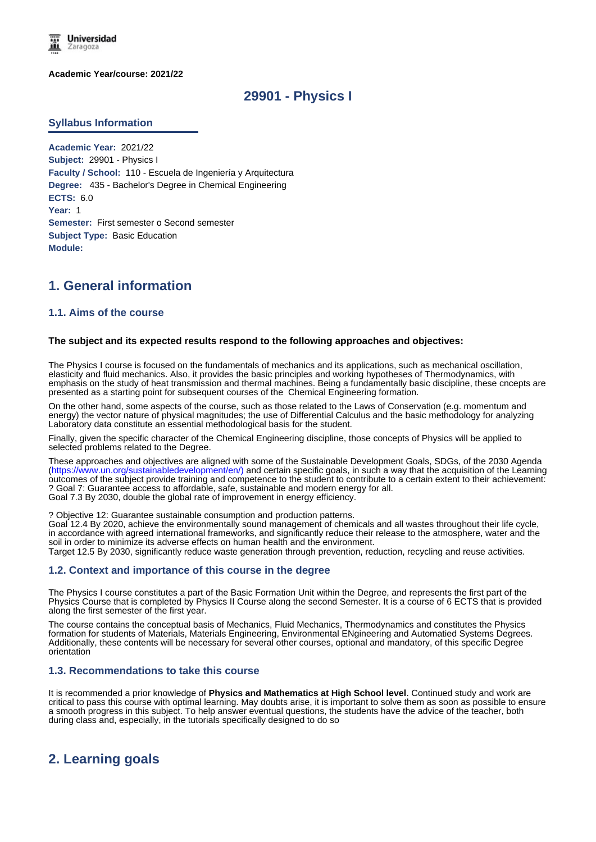

**Academic Year/course: 2021/22**

# **29901 - Physics I**

#### **Syllabus Information**

**Academic Year:** 2021/22 **Subject:** 29901 - Physics I **Faculty / School:** 110 - Escuela de Ingeniería y Arquitectura **Degree:** 435 - Bachelor's Degree in Chemical Engineering **ECTS:** 6.0 **Year:** 1 **Semester:** First semester o Second semester **Subject Type:** Basic Education **Module:**

# **1. General information**

## **1.1. Aims of the course**

#### **The subject and its expected results respond to the following approaches and objectives:**

The Physics I course is focused on the fundamentals of mechanics and its applications, such as mechanical oscillation, elasticity and fluid mechanics. Also, it provides the basic principles and working hypotheses of Thermodynamics, with emphasis on the study of heat transmission and thermal machines. Being a fundamentally basic discipline, these cncepts are presented as a starting point for subsequent courses of the Chemical Engineering formation.

On the other hand, some aspects of the course, such as those related to the Laws of Conservation (e.g. momentum and energy) the vector nature of physical magnitudes; the use of Differential Calculus and the basic methodology for analyzing Laboratory data constitute an essential methodological basis for the student.

Finally, given the specific character of the Chemical Engineering discipline, those concepts of Physics will be applied to selected problems related to the Degree.

These approaches and objectives are aligned with some of the Sustainable Development Goals, SDGs, of the 2030 Agenda (https://www.un.org/sustainabledevelopment/en/) and certain specific goals, in such a way that the acquisition of the Learning outcomes of the subject provide training and competence to the student to contribute to a certain extent to their achievement: ? Goal 7: Guarantee access to affordable, safe, sustainable and modern energy for all. Goal 7.3 By 2030, double the global rate of improvement in energy efficiency.

? Objective 12: Guarantee sustainable consumption and production patterns.

Goal 12.4 By 2020, achieve the environmentally sound management of chemicals and all wastes throughout their life cycle, in accordance with agreed international frameworks, and significantly reduce their release to the atmosphere, water and the soil in order to minimize its adverse effects on human health and the environment.

Target 12.5 By 2030, significantly reduce waste generation through prevention, reduction, recycling and reuse activities.

#### **1.2. Context and importance of this course in the degree**

The Physics I course constitutes a part of the Basic Formation Unit within the Degree, and represents the first part of the Physics Course that is completed by Physics II Course along the second Semester. It is a course of 6 ECTS that is provided along the first semester of the first year.

The course contains the conceptual basis of Mechanics, Fluid Mechanics, Thermodynamics and constitutes the Physics formation for students of Materials, Materials Engineering, Environmental ENgineering and Automatied Systems Degrees. Additionally, these contents will be necessary for several other courses, optional and mandatory, of this specific Degree orientation

#### **1.3. Recommendations to take this course**

It is recommended a prior knowledge of **Physics and Mathematics at High School level**. Continued study and work are critical to pass this course with optimal learning. May doubts arise, it is important to solve them as soon as possible to ensure a smooth progress in this subject. To help answer eventual questions, the students have the advice of the teacher, both during class and, especially, in the tutorials specifically designed to do so

# **2. Learning goals**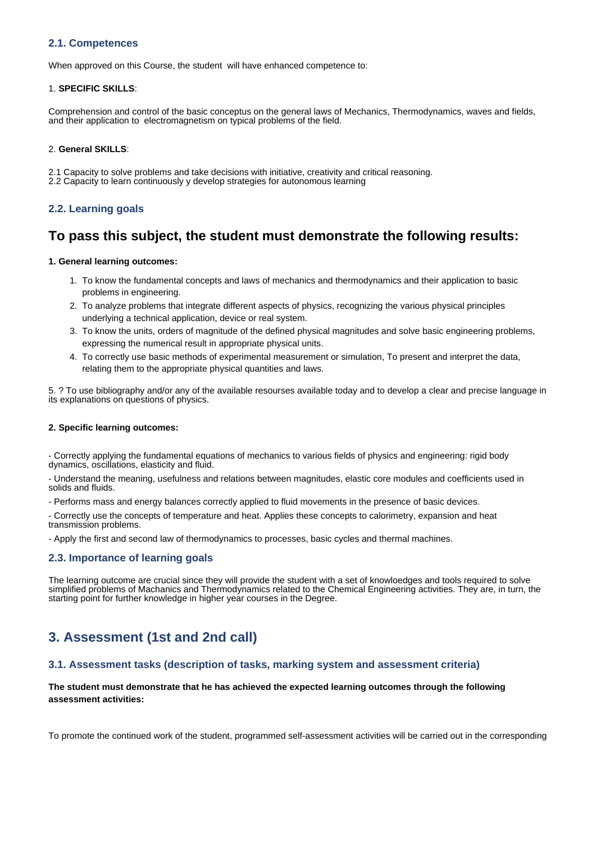## **2.1. Competences**

When approved on this Course, the student will have enhanced competence to:

#### 1. **SPECIFIC SKILLS**:

Comprehension and control of the basic conceptus on the general laws of Mechanics, Thermodynamics, waves and fields, and their application to electromagnetism on typical problems of the field.

#### 2. **General SKILLS**:

2.1 Capacity to solve problems and take decisions with initiative, creativity and critical reasoning.

2.2 Capacity to learn continuously y develop strategies for autonomous learning

## **2.2. Learning goals**

# **To pass this subject, the student must demonstrate the following results:**

#### **1. General learning outcomes:**

- 1. To know the fundamental concepts and laws of mechanics and thermodynamics and their application to basic problems in engineering.
- 2. To analyze problems that integrate different aspects of physics, recognizing the various physical principles underlying a technical application, device or real system.
- 3. To know the units, orders of magnitude of the defined physical magnitudes and solve basic engineering problems, expressing the numerical result in appropriate physical units.
- 4. To correctly use basic methods of experimental measurement or simulation, To present and interpret the data, relating them to the appropriate physical quantities and laws.

5. ? To use bibliography and/or any of the available resourses available today and to develop a clear and precise language in its explanations on questions of physics.

#### **2. Specific learning outcomes:**

- Correctly applying the fundamental equations of mechanics to various fields of physics and engineering: rigid body dynamics, oscillations, elasticity and fluid.

- Understand the meaning, usefulness and relations between magnitudes, elastic core modules and coefficients used in solids and fluids.

- Performs mass and energy balances correctly applied to fluid movements in the presence of basic devices.

- Correctly use the concepts of temperature and heat. Applies these concepts to calorimetry, expansion and heat transmission problems.

- Apply the first and second law of thermodynamics to processes, basic cycles and thermal machines.

### **2.3. Importance of learning goals**

The learning outcome are crucial since they will provide the student with a set of knowloedges and tools required to solve simplified problems of Machanics and Thermodynamics related to the Chemical Engineering activities. They are, in turn, the starting point for further knowledge in higher year courses in the Degree.

# **3. Assessment (1st and 2nd call)**

### **3.1. Assessment tasks (description of tasks, marking system and assessment criteria)**

## **The student must demonstrate that he has achieved the expected learning outcomes through the following assessment activities:**

To promote the continued work of the student, programmed self-assessment activities will be carried out in the corresponding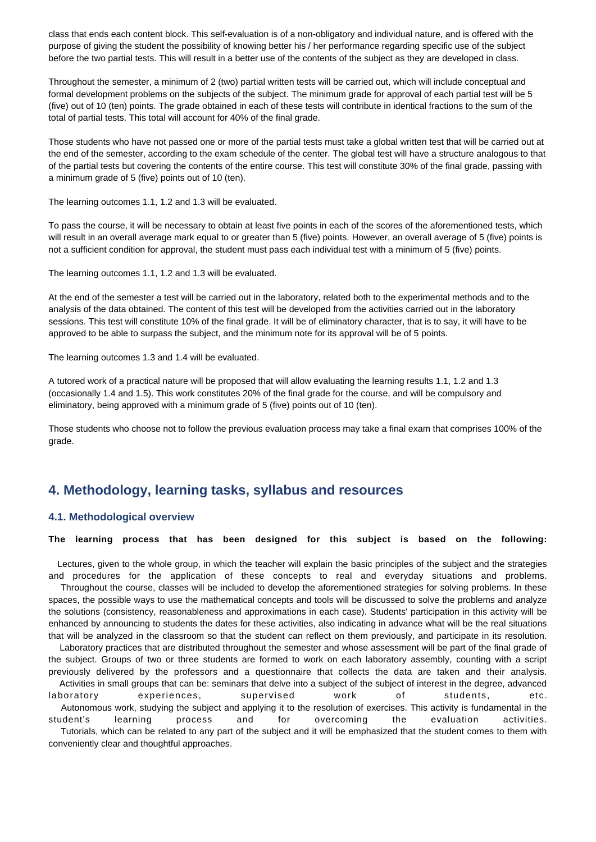class that ends each content block. This self-evaluation is of a non-obligatory and individual nature, and is offered with the purpose of giving the student the possibility of knowing better his / her performance regarding specific use of the subject before the two partial tests. This will result in a better use of the contents of the subject as they are developed in class.

Throughout the semester, a minimum of 2 (two) partial written tests will be carried out, which will include conceptual and formal development problems on the subjects of the subject. The minimum grade for approval of each partial test will be 5 (five) out of 10 (ten) points. The grade obtained in each of these tests will contribute in identical fractions to the sum of the total of partial tests. This total will account for 40% of the final grade.

Those students who have not passed one or more of the partial tests must take a global written test that will be carried out at the end of the semester, according to the exam schedule of the center. The global test will have a structure analogous to that of the partial tests but covering the contents of the entire course. This test will constitute 30% of the final grade, passing with a minimum grade of 5 (five) points out of 10 (ten).

The learning outcomes 1.1, 1.2 and 1.3 will be evaluated.

To pass the course, it will be necessary to obtain at least five points in each of the scores of the aforementioned tests, which will result in an overall average mark equal to or greater than 5 (five) points. However, an overall average of 5 (five) points is not a sufficient condition for approval, the student must pass each individual test with a minimum of 5 (five) points.

The learning outcomes 1.1, 1.2 and 1.3 will be evaluated.

At the end of the semester a test will be carried out in the laboratory, related both to the experimental methods and to the analysis of the data obtained. The content of this test will be developed from the activities carried out in the laboratory sessions. This test will constitute 10% of the final grade. It will be of eliminatory character, that is to say, it will have to be approved to be able to surpass the subject, and the minimum note for its approval will be of 5 points.

The learning outcomes 1.3 and 1.4 will be evaluated.

A tutored work of a practical nature will be proposed that will allow evaluating the learning results 1.1, 1.2 and 1.3 (occasionally 1.4 and 1.5). This work constitutes 20% of the final grade for the course, and will be compulsory and eliminatory, being approved with a minimum grade of 5 (five) points out of 10 (ten).

Those students who choose not to follow the previous evaluation process may take a final exam that comprises 100% of the grade.

# **4. Methodology, learning tasks, syllabus and resources**

### **4.1. Methodological overview**

#### **The learning process that has been designed for this subject is based on the following:**

 Lectures, given to the whole group, in which the teacher will explain the basic principles of the subject and the strategies and procedures for the application of these concepts to real and everyday situations and problems.

 Throughout the course, classes will be included to develop the aforementioned strategies for solving problems. In these spaces, the possible ways to use the mathematical concepts and tools will be discussed to solve the problems and analyze the solutions (consistency, reasonableness and approximations in each case). Students' participation in this activity will be enhanced by announcing to students the dates for these activities, also indicating in advance what will be the real situations that will be analyzed in the classroom so that the student can reflect on them previously, and participate in its resolution.

 Laboratory practices that are distributed throughout the semester and whose assessment will be part of the final grade of the subject. Groups of two or three students are formed to work on each laboratory assembly, counting with a script previously delivered by the professors and a questionnaire that collects the data are taken and their analysis.

 Activities in small groups that can be: seminars that delve into a subject of the subject of interest in the degree, advanced laboratory experiences, supervised work of students, etc. Autonomous work, studying the subject and applying it to the resolution of exercises. This activity is fundamental in the student's learning process and for overcoming the evaluation activities. Tutorials, which can be related to any part of the subject and it will be emphasized that the student comes to them with

conveniently clear and thoughtful approaches.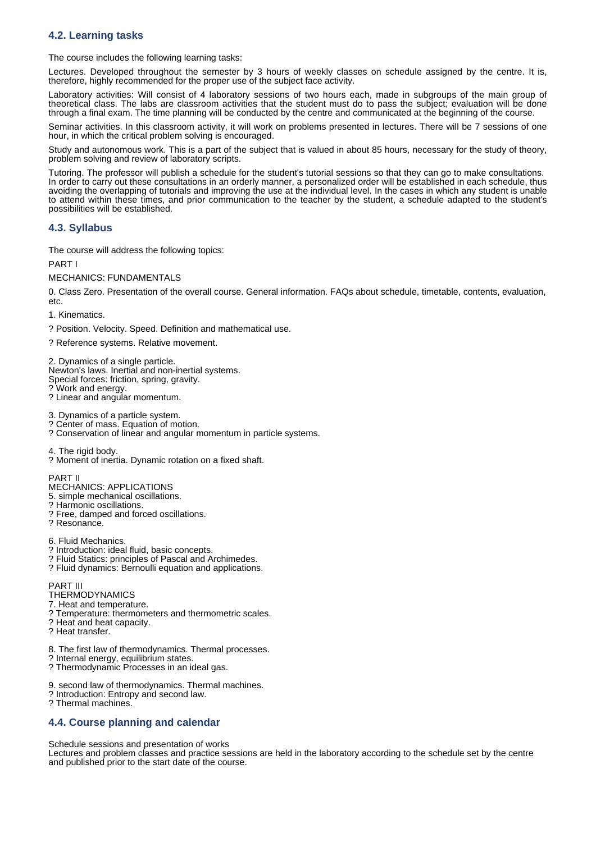## **4.2. Learning tasks**

The course includes the following learning tasks:

Lectures. Developed throughout the semester by 3 hours of weekly classes on schedule assigned by the centre. It is, therefore, highly recommended for the proper use of the subject face activity.

Laboratory activities: Will consist of 4 laboratory sessions of two hours each, made in subgroups of the main group of theoretical class. The labs are classroom activities that the student must do to pass the subject; evaluation will be done through a final exam. The time planning will be conducted by the centre and communicated at the beginning of the course.

Seminar activities. In this classroom activity, it will work on problems presented in lectures. There will be 7 sessions of one hour, in which the critical problem solving is encouraged.

Study and autonomous work. This is a part of the subject that is valued in about 85 hours, necessary for the study of theory, problem solving and review of laboratory scripts.

Tutoring. The professor will publish a schedule for the student's tutorial sessions so that they can go to make consultations. In order to carry out these consultations in an orderly manner, a personalized order will be established in each schedule, thus avoiding the overlapping of tutorials and improving the use at the individual level. In the cases in which any student is unable to attend within these times, and prior communication to the teacher by the student, a schedule adapted to the student's possibilities will be established.

## **4.3. Syllabus**

The course will address the following topics:

PART

MECHANICS: FUNDAMENTALS

0. Class Zero. Presentation of the overall course. General information. FAQs about schedule, timetable, contents, evaluation, etc.

1. Kinematics.

? Position. Velocity. Speed. Definition and mathematical use.

? Reference systems. Relative movement.

2. Dynamics of a single particle. Newton's laws. Inertial and non-inertial systems. Special forces: friction, spring, gravity. ? Work and energy. ? Linear and angular momentum.

3. Dynamics of a particle system. ? Center of mass. Equation of motion.

? Conservation of linear and angular momentum in particle systems.

4. The rigid body.

? Moment of inertia. Dynamic rotation on a fixed shaft.

PART II

MECHANICS: APPLICATIONS

5. simple mechanical oscillations.

? Harmonic oscillations. ? Free, damped and forced oscillations.

? Resonance.

6. Fluid Mechanics.

? Introduction: ideal fluid, basic concepts.

- ? Fluid Statics: principles of Pascal and Archimedes.
- ? Fluid dynamics: Bernoulli equation and applications.

PART III

- **THERMODYNAMICS**
- 7. Heat and temperature.
- ? Temperature: thermometers and thermometric scales.

? Heat and heat capacity.

? Heat transfer.

8. The first law of thermodynamics. Thermal processes.

? Internal energy, equilibrium states.

? Thermodynamic Processes in an ideal gas.

9. second law of thermodynamics. Thermal machines.

? Introduction: Entropy and second law.

? Thermal machines.

### **4.4. Course planning and calendar**

Schedule sessions and presentation of works

Lectures and problem classes and practice sessions are held in the laboratory according to the schedule set by the centre and published prior to the start date of the course.